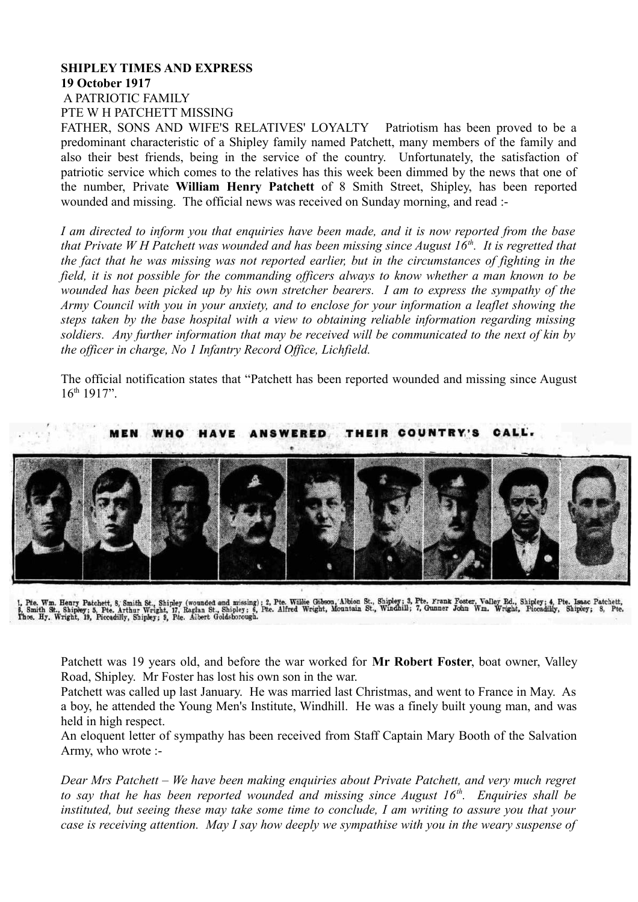## **SHIPLEY TIMES AND EXPRESS 19 October 1917** A PATRIOTIC FAMILY PTE W H PATCHETT MISSING

FATHER, SONS AND WIFE'S RELATIVES' LOYALTY Patriotism has been proved to be a predominant characteristic of a Shipley family named Patchett, many members of the family and also their best friends, being in the service of the country. Unfortunately, the satisfaction of patriotic service which comes to the relatives has this week been dimmed by the news that one of the number, Private **William Henry Patchett** of 8 Smith Street, Shipley, has been reported wounded and missing. The official news was received on Sunday morning, and read :-

*I am directed to inform you that enquiries have been made, and it is now reported from the base that Private W H Patchett was wounded and has been missing since August 16th. It is regretted that the fact that he was missing was not reported earlier, but in the circumstances of fighting in the field, it is not possible for the commanding officers always to know whether a man known to be wounded has been picked up by his own stretcher bearers. I am to express the sympathy of the Army Council with you in your anxiety, and to enclose for your information a leaflet showing the steps taken by the base hospital with a view to obtaining reliable information regarding missing soldiers. Any further information that may be received will be communicated to the next of kin by the officer in charge, No 1 Infantry Record Office, Lichfield.*

The official notification states that "Patchett has been reported wounded and missing since August  $16^{th}$  1917"



1, Pite. Wm. Henry Patchett, 8, Smith St., Shipley (wounded and missing); 2, Pte. Willie Gebson, Albion St., Shipley; 3, Pte. Frank Foster, Valley Rd., Shipley; 4, Pte. Isaac Patchett, 6, Smith St., Shipley; 5, Pte. Isaac

Patchett was 19 years old, and before the war worked for **Mr Robert Foster**, boat owner, Valley Road, Shipley. Mr Foster has lost his own son in the war.

Patchett was called up last January. He was married last Christmas, and went to France in May. As a boy, he attended the Young Men's Institute, Windhill. He was a finely built young man, and was held in high respect.

An eloquent letter of sympathy has been received from Staff Captain Mary Booth of the Salvation Army, who wrote :-

*Dear Mrs Patchett – We have been making enquiries about Private Patchett, and very much regret to say that he has been reported wounded and missing since August 16th. Enquiries shall be instituted, but seeing these may take some time to conclude, I am writing to assure you that your case is receiving attention. May I say how deeply we sympathise with you in the weary suspense of*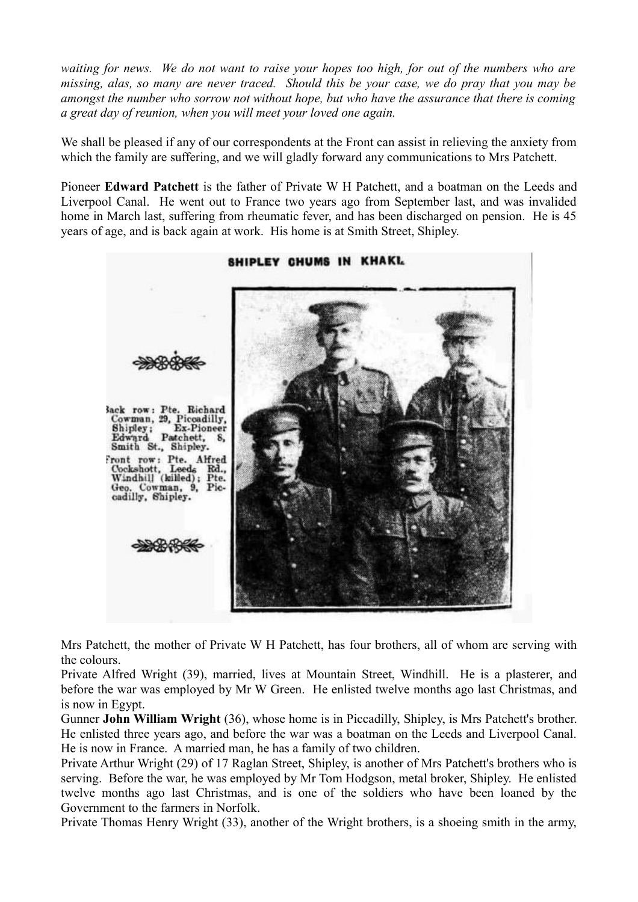*waiting for news. We do not want to raise your hopes too high, for out of the numbers who are missing, alas, so many are never traced. Should this be your case, we do pray that you may be amongst the number who sorrow not without hope, but who have the assurance that there is coming a great day of reunion, when you will meet your loved one again.*

We shall be pleased if any of our correspondents at the Front can assist in relieving the anxiety from which the family are suffering, and we will gladly forward any communications to Mrs Patchett.

Pioneer **Edward Patchett** is the father of Private W H Patchett, and a boatman on the Leeds and Liverpool Canal. He went out to France two years ago from September last, and was invalided home in March last, suffering from rheumatic fever, and has been discharged on pension. He is 45 years of age, and is back again at work. His home is at Smith Street, Shipley.



Mrs Patchett, the mother of Private W H Patchett, has four brothers, all of whom are serving with the colours.

Private Alfred Wright (39), married, lives at Mountain Street, Windhill. He is a plasterer, and before the war was employed by Mr W Green. He enlisted twelve months ago last Christmas, and is now in Egypt.

Gunner **John William Wright** (36), whose home is in Piccadilly, Shipley, is Mrs Patchett's brother. He enlisted three years ago, and before the war was a boatman on the Leeds and Liverpool Canal. He is now in France. A married man, he has a family of two children.

Private Arthur Wright (29) of 17 Raglan Street, Shipley, is another of Mrs Patchett's brothers who is serving. Before the war, he was employed by Mr Tom Hodgson, metal broker, Shipley. He enlisted twelve months ago last Christmas, and is one of the soldiers who have been loaned by the Government to the farmers in Norfolk.

Private Thomas Henry Wright (33), another of the Wright brothers, is a shoeing smith in the army,